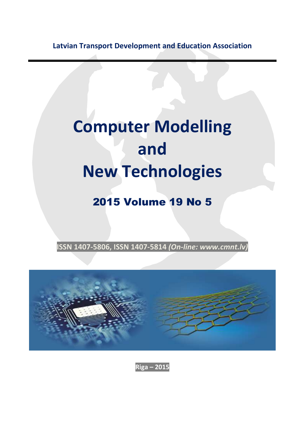**Latvian Transport Development and Education Association**

## **Computer Modelling and New Technologies**

## 2015 Volume 19 No 5

**ISSN 1407-5806, ISSN 1407-5814** *(On-line: www.cmnt.lv)*



**Riga – 2015**